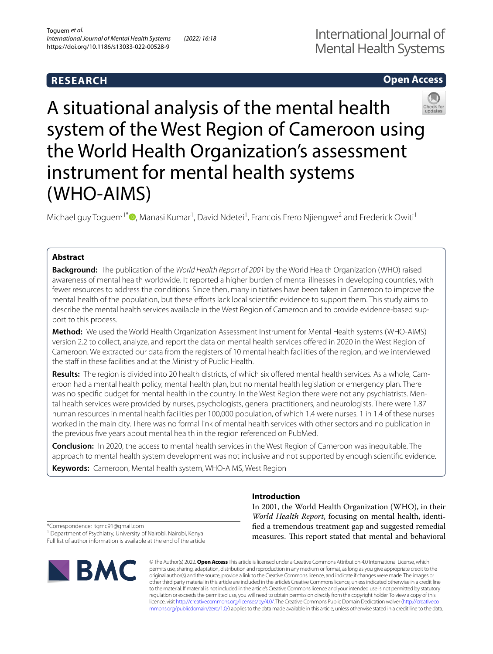## **RESEARCH**

# International Journal of Mental Health Systems

## **Open Access**



A situational analysis of the mental health system of the West Region of Cameroon using the World Health Organization's assessment instrument for mental health systems (WHO-AIMS)

Michael guy Toguem<sup>1\*</sup>®[,](http://orcid.org/0000-0003-3609-8487) Manasi Kumar<sup>1</sup>, David Ndetei<sup>1</sup>, Francois Erero Njiengwe<sup>2</sup> and Frederick Owiti<sup>1</sup>

## **Abstract**

**Background:** The publication of the *World Health Report of 2001* by the World Health Organization (WHO) raised awareness of mental health worldwide. It reported a higher burden of mental illnesses in developing countries, with fewer resources to address the conditions. Since then, many initiatives have been taken in Cameroon to improve the mental health of the population, but these eforts lack local scientifc evidence to support them. This study aims to describe the mental health services available in the West Region of Cameroon and to provide evidence-based support to this process.

**Method:** We used the World Health Organization Assessment Instrument for Mental Health systems (WHO-AIMS) version 2.2 to collect, analyze, and report the data on mental health services ofered in 2020 in the West Region of Cameroon. We extracted our data from the registers of 10 mental health facilities of the region, and we interviewed the staff in these facilities and at the Ministry of Public Health.

**Results:** The region is divided into 20 health districts, of which six ofered mental health services. As a whole, Cameroon had a mental health policy, mental health plan, but no mental health legislation or emergency plan. There was no specifc budget for mental health in the country. In the West Region there were not any psychiatrists. Mental health services were provided by nurses, psychologists, general practitioners, and neurologists. There were 1.87 human resources in mental health facilities per 100,000 population, of which 1.4 were nurses. 1 in 1.4 of these nurses worked in the main city. There was no formal link of mental health services with other sectors and no publication in the previous fve years about mental health in the region referenced on PubMed.

**Conclusion:** In 2020, the access to mental health services in the West Region of Cameroon was inequitable. The approach to mental health system development was not inclusive and not supported by enough scientifc evidence.

**Keywords:** Cameroon, Mental health system, WHO-AIMS, West Region

**Introduction**

In 2001, the World Health Organization (WHO), in their *World Health Report*, focusing on mental health, identifed a tremendous treatment gap and suggested remedial measures. This report stated that mental and behavioral

\*Correspondence: tgmc91@gmail.com

<sup>1</sup> Department of Psychiatry, University of Nairobi, Nairobi, Kenya Full list of author information is available at the end of the article



© The Author(s) 2022. **Open Access** This article is licensed under a Creative Commons Attribution 4.0 International License, which permits use, sharing, adaptation, distribution and reproduction in any medium or format, as long as you give appropriate credit to the original author(s) and the source, provide a link to the Creative Commons licence, and indicate if changes were made. The images or other third party material in this article are included in the article's Creative Commons licence, unless indicated otherwise in a credit line to the material. If material is not included in the article's Creative Commons licence and your intended use is not permitted by statutory regulation or exceeds the permitted use, you will need to obtain permission directly from the copyright holder. To view a copy of this licence, visit [http://creativecommons.org/licenses/by/4.0/.](http://creativecommons.org/licenses/by/4.0/) The Creative Commons Public Domain Dedication waiver ([http://creativeco](http://creativecommons.org/publicdomain/zero/1.0/) [mmons.org/publicdomain/zero/1.0/](http://creativecommons.org/publicdomain/zero/1.0/)) applies to the data made available in this article, unless otherwise stated in a credit line to the data.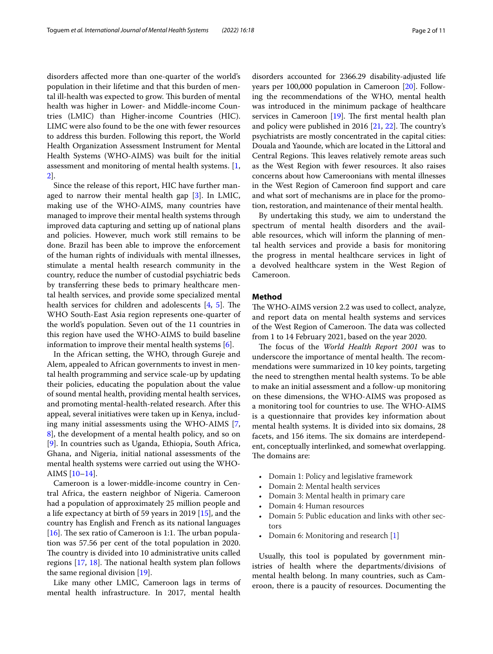disorders afected more than one-quarter of the world's population in their lifetime and that this burden of mental ill-health was expected to grow. This burden of mental health was higher in Lower- and Middle-income Countries (LMIC) than Higher-income Countries (HIC). LIMC were also found to be the one with fewer resources to address this burden. Following this report, the World Health Organization Assessment Instrument for Mental Health Systems (WHO-AIMS) was built for the initial assessment and monitoring of mental health systems. [\[1](#page-9-0), [2\]](#page-9-1).

Since the release of this report, HIC have further managed to narrow their mental health gap [\[3](#page-9-2)]. In LMIC, making use of the WHO-AIMS, many countries have managed to improve their mental health systems through improved data capturing and setting up of national plans and policies. However, much work still remains to be done. Brazil has been able to improve the enforcement of the human rights of individuals with mental illnesses, stimulate a mental health research community in the country, reduce the number of custodial psychiatric beds by transferring these beds to primary healthcare mental health services, and provide some specialized mental health services for children and adolescents  $[4, 5]$  $[4, 5]$  $[4, 5]$  $[4, 5]$ . The WHO South-East Asia region represents one-quarter of the world's population. Seven out of the 11 countries in this region have used the WHO-AIMS to build baseline information to improve their mental health systems [[6](#page-9-5)].

In the African setting, the WHO, through Gureje and Alem, appealed to African governments to invest in mental health programming and service scale-up by updating their policies, educating the population about the value of sound mental health, providing mental health services, and promoting mental-health-related research. After this appeal, several initiatives were taken up in Kenya, including many initial assessments using the WHO-AIMS [\[7](#page-9-6), [8\]](#page-9-7), the development of a mental health policy, and so on [[9\]](#page-9-8). In countries such as Uganda, Ethiopia, South Africa, Ghana, and Nigeria, initial national assessments of the mental health systems were carried out using the WHO-AIMS [[10](#page-9-9)[–14](#page-9-10)].

Cameroon is a lower-middle-income country in Central Africa, the eastern neighbor of Nigeria. Cameroon had a population of approximately 25 million people and a life expectancy at birth of 59 years in 2019 [\[15\]](#page-9-11), and the country has English and French as its national languages [[16\]](#page-9-12). The sex ratio of Cameroon is 1:1. The urban population was 57.56 per cent of the total population in 2020. The country is divided into 10 administrative units called regions  $[17, 18]$  $[17, 18]$  $[17, 18]$  $[17, 18]$ . The national health system plan follows the same regional division [[19](#page-9-15)].

Like many other LMIC, Cameroon lags in terms of mental health infrastructure. In 2017, mental health disorders accounted for 2366.29 disability-adjusted life years per 100,000 population in Cameroon [\[20](#page-9-16)]. Following the recommendations of the WHO, mental health was introduced in the minimum package of healthcare services in Cameroon  $[19]$  $[19]$ . The first mental health plan and policy were published in 2016  $[21, 22]$  $[21, 22]$  $[21, 22]$  $[21, 22]$  $[21, 22]$ . The country's psychiatrists are mostly concentrated in the capital cities: Douala and Yaounde, which are located in the Littoral and Central Regions. This leaves relatively remote areas such as the West Region with fewer resources. It also raises concerns about how Cameroonians with mental illnesses in the West Region of Cameroon fnd support and care and what sort of mechanisms are in place for the promotion, restoration, and maintenance of their mental health.

By undertaking this study, we aim to understand the spectrum of mental health disorders and the available resources, which will inform the planning of mental health services and provide a basis for monitoring the progress in mental healthcare services in light of a devolved healthcare system in the West Region of Cameroon.

## **Method**

The WHO-AIMS version 2.2 was used to collect, analyze, and report data on mental health systems and services of the West Region of Cameroon. The data was collected from 1 to 14 February 2021, based on the year 2020.

The focus of the *World Health Report 2001* was to underscore the importance of mental health. The recommendations were summarized in 10 key points, targeting the need to strengthen mental health systems. To be able to make an initial assessment and a follow-up monitoring on these dimensions, the WHO-AIMS was proposed as a monitoring tool for countries to use. The WHO-AIMS is a questionnaire that provides key information about mental health systems. It is divided into six domains, 28 facets, and 156 items. The six domains are interdependent, conceptually interlinked, and somewhat overlapping. The domains are:

- Domain 1: Policy and legislative framework
- Domain 2: Mental health services
- Domain 3: Mental health in primary care
- Domain 4: Human resources
- Domain 5: Public education and links with other sectors
- Domain 6: Monitoring and research [[1](#page-9-0)]

Usually, this tool is populated by government ministries of health where the departments/divisions of mental health belong. In many countries, such as Cameroon, there is a paucity of resources. Documenting the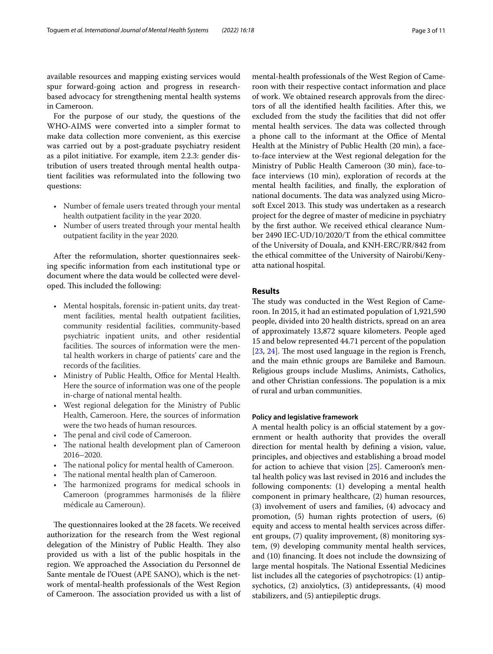available resources and mapping existing services would spur forward-going action and progress in researchbased advocacy for strengthening mental health systems in Cameroon.

For the purpose of our study, the questions of the WHO-AIMS were converted into a simpler format to make data collection more convenient, as this exercise was carried out by a post-graduate psychiatry resident as a pilot initiative. For example, item 2.2.3: gender distribution of users treated through mental health outpatient facilities was reformulated into the following two questions:

- Number of female users treated through your mental health outpatient facility in the year 2020.
- Number of users treated through your mental health outpatient facility in the year 2020.

After the reformulation, shorter questionnaires seeking specifc information from each institutional type or document where the data would be collected were developed. This included the following:

- Mental hospitals, forensic in-patient units, day treatment facilities, mental health outpatient facilities, community residential facilities, community-based psychiatric inpatient units, and other residential facilities. The sources of information were the mental health workers in charge of patients' care and the records of the facilities.
- Ministry of Public Health, Office for Mental Health. Here the source of information was one of the people in-charge of national mental health.
- West regional delegation for the Ministry of Public Health, Cameroon. Here, the sources of information were the two heads of human resources.
- The penal and civil code of Cameroon.
- The national health development plan of Cameroon 2016–2020.
- The national policy for mental health of Cameroon.
- The national mental health plan of Cameroon.
- The harmonized programs for medical schools in Cameroon (programmes harmonisés de la flière médicale au Cameroun).

The questionnaires looked at the 28 facets. We received authorization for the research from the West regional delegation of the Ministry of Public Health. They also provided us with a list of the public hospitals in the region. We approached the Association du Personnel de Sante mentale de l'Ouest (APE SANO), which is the network of mental-health professionals of the West Region of Cameroon. The association provided us with a list of mental-health professionals of the West Region of Cameroon with their respective contact information and place of work. We obtained research approvals from the directors of all the identifed health facilities. After this, we excluded from the study the facilities that did not offer mental health services. The data was collected through a phone call to the informant at the Office of Mental Health at the Ministry of Public Health (20 min), a faceto-face interview at the West regional delegation for the Ministry of Public Health Cameroon (30 min), face-toface interviews (10 min), exploration of records at the mental health facilities, and fnally, the exploration of national documents. The data was analyzed using Microsoft Excel 2013. This study was undertaken as a research project for the degree of master of medicine in psychiatry by the frst author. We received ethical clearance Number 2490 IEC-UD/10/2020/T from the ethical committee of the University of Douala, and KNH-ERC/RR/842 from the ethical committee of the University of Nairobi/Kenyatta national hospital.

## **Results**

The study was conducted in the West Region of Cameroon. In 2015, it had an estimated population of 1,921,590 people, divided into 20 health districts, spread on an area of approximately 13,872 square kilometers. People aged 15 and below represented 44.71 percent of the population  $[23, 24]$  $[23, 24]$  $[23, 24]$  $[23, 24]$ . The most used language in the region is French, and the main ethnic groups are Bamileke and Bamoun. Religious groups include Muslims, Animists, Catholics, and other Christian confessions. The population is a mix of rural and urban communities.

## **Policy and legislative framework**

A mental health policy is an official statement by a government or health authority that provides the overall direction for mental health by defning a vision, value, principles, and objectives and establishing a broad model for action to achieve that vision  $[25]$ . Cameroon's mental health policy was last revised in 2016 and includes the following components: (1) developing a mental health component in primary healthcare, (2) human resources, (3) involvement of users and families, (4) advocacy and promotion, (5) human rights protection of users, (6) equity and access to mental health services across diferent groups, (7) quality improvement, (8) monitoring system, (9) developing community mental health services, and (10) fnancing. It does not include the downsizing of large mental hospitals. The National Essential Medicines list includes all the categories of psychotropics: (1) antipsychotics, (2) anxiolytics, (3) antidepressants, (4) mood stabilizers, and (5) antiepileptic drugs.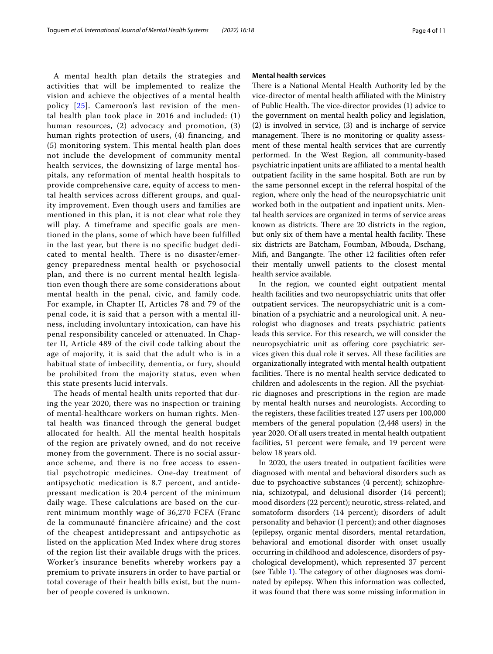A mental health plan details the strategies and activities that will be implemented to realize the vision and achieve the objectives of a mental health policy [[25](#page-9-21)]. Cameroon's last revision of the mental health plan took place in 2016 and included: (1) human resources, (2) advocacy and promotion, (3) human rights protection of users, (4) financing, and (5) monitoring system. This mental health plan does not include the development of community mental health services, the downsizing of large mental hospitals, any reformation of mental health hospitals to provide comprehensive care, equity of access to mental health services across different groups, and quality improvement. Even though users and families are mentioned in this plan, it is not clear what role they will play. A timeframe and specific goals are mentioned in the plans, some of which have been fulfilled in the last year, but there is no specific budget dedicated to mental health. There is no disaster/emergency preparedness mental health or psychosocial plan, and there is no current mental health legislation even though there are some considerations about mental health in the penal, civic, and family code. For example, in Chapter II, Articles 78 and 79 of the penal code, it is said that a person with a mental illness, including involuntary intoxication, can have his penal responsibility canceled or attenuated. In Chapter II, Article 489 of the civil code talking about the age of majority, it is said that the adult who is in a habitual state of imbecility, dementia, or fury, should be prohibited from the majority status, even when this state presents lucid intervals.

The heads of mental health units reported that during the year 2020, there was no inspection or training of mental-healthcare workers on human rights. Mental health was financed through the general budget allocated for health. All the mental health hospitals of the region are privately owned, and do not receive money from the government. There is no social assurance scheme, and there is no free access to essential psychotropic medicines. One-day treatment of antipsychotic medication is 8.7 percent, and antidepressant medication is 20.4 percent of the minimum daily wage. These calculations are based on the current minimum monthly wage of 36,270 FCFA (Franc de la communauté financière africaine) and the cost of the cheapest antidepressant and antipsychotic as listed on the application Med Index where drug stores of the region list their available drugs with the prices. Worker's insurance benefits whereby workers pay a premium to private insurers in order to have partial or total coverage of their health bills exist, but the number of people covered is unknown.

#### **Mental health services**

There is a National Mental Health Authority led by the vice-director of mental health afliated with the Ministry of Public Health. The vice-director provides (1) advice to the government on mental health policy and legislation, (2) is involved in service, (3) and is incharge of service management. There is no monitoring or quality assessment of these mental health services that are currently performed. In the West Region, all community-based psychiatric inpatient units are afliated to a mental health outpatient facility in the same hospital. Both are run by the same personnel except in the referral hospital of the region, where only the head of the neuropsychiatric unit worked both in the outpatient and inpatient units. Mental health services are organized in terms of service areas known as districts. There are 20 districts in the region, but only six of them have a mental health facility. These six districts are Batcham, Foumban, Mbouda, Dschang, Mifi, and Bangangte. The other 12 facilities often refer their mentally unwell patients to the closest mental health service available.

In the region, we counted eight outpatient mental health facilities and two neuropsychiatric units that offer outpatient services. The neuropsychiatric unit is a combination of a psychiatric and a neurological unit. A neurologist who diagnoses and treats psychiatric patients leads this service. For this research, we will consider the neuropsychiatric unit as ofering core psychiatric services given this dual role it serves. All these facilities are organizationally integrated with mental health outpatient facilities. There is no mental health service dedicated to children and adolescents in the region. All the psychiatric diagnoses and prescriptions in the region are made by mental health nurses and neurologists. According to the registers, these facilities treated 127 users per 100,000 members of the general population (2,448 users) in the year 2020. Of all users treated in mental health outpatient facilities, 51 percent were female, and 19 percent were below 18 years old.

In 2020, the users treated in outpatient facilities were diagnosed with mental and behavioral disorders such as due to psychoactive substances (4 percent); schizophrenia, schizotypal, and delusional disorder (14 percent); mood disorders (22 percent); neurotic, stress-related, and somatoform disorders (14 percent); disorders of adult personality and behavior (1 percent); and other diagnoses (epilepsy, organic mental disorders, mental retardation, behavioral and emotional disorder with onset usually occurring in childhood and adolescence, disorders of psychological development), which represented 37 percent (see Table  $1$ ). The category of other diagnoses was dominated by epilepsy. When this information was collected, it was found that there was some missing information in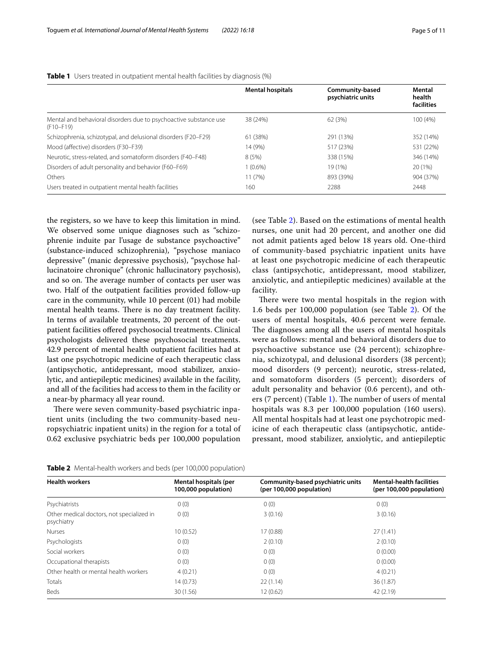|                                                                                    | <b>Mental hospitals</b> | Community-based<br>psychiatric units | Mental<br>health<br>facilities |
|------------------------------------------------------------------------------------|-------------------------|--------------------------------------|--------------------------------|
| Mental and behavioral disorders due to psychoactive substance use<br>$(F10 - F19)$ | 38 (24%)                | 62 (3%)                              | 100 (4%)                       |
| Schizophrenia, schizotypal, and delusional disorders (F20-F29)                     | 61 (38%)                | 291 (13%)                            | 352 (14%)                      |
| Mood (affective) disorders (F30-F39)                                               | 14 (9%)                 | 517 (23%)                            | 531 (22%)                      |
| Neurotic, stress-related, and somatoform disorders (F40-F48)                       | 8(5%)                   | 338 (15%)                            | 346 (14%)                      |
| Disorders of adult personality and behavior (F60–F69)                              | $1(0.6\%)$              | 19 (1%)                              | 20 (1%)                        |
| Others                                                                             | 11(7%)                  | 893 (39%)                            | 904 (37%)                      |
| Users treated in outpatient mental health facilities                               | 160                     | 2288                                 | 2448                           |

<span id="page-4-0"></span>**Table 1** Users treated in outpatient mental health facilities by diagnosis (%)

the registers, so we have to keep this limitation in mind. We observed some unique diagnoses such as "schizophrenie induite par l'usage de substance psychoactive" (substance-induced schizophrenia), "psychose maniaco depressive" (manic depressive psychosis), "psychose hallucinatoire chronique" (chronic hallucinatory psychosis), and so on. The average number of contacts per user was two. Half of the outpatient facilities provided follow-up care in the community, while 10 percent (01) had mobile mental health teams. There is no day treatment facility. In terms of available treatments, 20 percent of the outpatient facilities ofered psychosocial treatments. Clinical psychologists delivered these psychosocial treatments. 42.9 percent of mental health outpatient facilities had at last one psychotropic medicine of each therapeutic class (antipsychotic, antidepressant, mood stabilizer, anxiolytic, and antiepileptic medicines) available in the facility, and all of the facilities had access to them in the facility or a near-by pharmacy all year round.

There were seven community-based psychiatric inpatient units (including the two community-based neuropsychiatric inpatient units) in the region for a total of 0.62 exclusive psychiatric beds per 100,000 population (see Table [2](#page-4-1)). Based on the estimations of mental health nurses, one unit had 20 percent, and another one did not admit patients aged below 18 years old. One-third of community-based psychiatric inpatient units have at least one psychotropic medicine of each therapeutic class (antipsychotic, antidepressant, mood stabilizer, anxiolytic, and antiepileptic medicines) available at the facility.

There were two mental hospitals in the region with 1.6 beds per 100,000 population (see Table [2\)](#page-4-1). Of the users of mental hospitals, 40.6 percent were female. The diagnoses among all the users of mental hospitals were as follows: mental and behavioral disorders due to psychoactive substance use (24 percent); schizophrenia, schizotypal, and delusional disorders (38 percent); mood disorders (9 percent); neurotic, stress-related, and somatoform disorders (5 percent); disorders of adult personality and behavior (0.6 percent), and oth-ers (7 percent) (Table [1\)](#page-4-0). The number of users of mental hospitals was 8.3 per 100,000 population (160 users). All mental hospitals had at least one psychotropic medicine of each therapeutic class (antipsychotic, antidepressant, mood stabilizer, anxiolytic, and antiepileptic

<span id="page-4-1"></span>

| <b>Table 2</b> Mental-health workers and beds (per 100,000 population) |
|------------------------------------------------------------------------|
|                                                                        |

| <b>Health workers</b>                                   | Mental hospitals (per<br>100,000 population) | Community-based psychiatric units<br>(per 100,000 population) | <b>Mental-health facilities</b><br>(per 100,000 population) |
|---------------------------------------------------------|----------------------------------------------|---------------------------------------------------------------|-------------------------------------------------------------|
| Psychiatrists                                           | 0(0)                                         | 0(0)                                                          | 0(0)                                                        |
| Other medical doctors, not specialized in<br>psychiatry | 0(0)                                         | 3(0.16)                                                       | 3(0.16)                                                     |
| <b>Nurses</b>                                           | 10(0.52)                                     | 17 (0.88)                                                     | 27(1.41)                                                    |
| Psychologists                                           | 0(0)                                         | 2(0.10)                                                       | 2(0.10)                                                     |
| Social workers                                          | 0(0)                                         | 0(0)                                                          | 0(0.00)                                                     |
| Occupational therapists                                 | 0(0)                                         | 0(0)                                                          | 0(0.00)                                                     |
| Other health or mental health workers                   | 4(0.21)                                      | 0(0)                                                          | 4(0.21)                                                     |
| Totals                                                  | 14(0.73)                                     | 22(1.14)                                                      | 36 (1.87)                                                   |
| Beds                                                    | 30 (1.56)                                    | 12(0.62)                                                      | 42 (2.19)                                                   |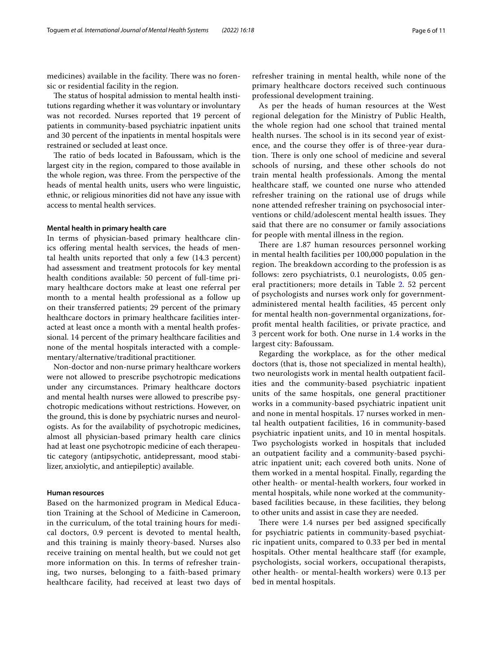medicines) available in the facility. There was no forensic or residential facility in the region.

The status of hospital admission to mental health institutions regarding whether it was voluntary or involuntary was not recorded. Nurses reported that 19 percent of patients in community-based psychiatric inpatient units and 30 percent of the inpatients in mental hospitals were restrained or secluded at least once.

The ratio of beds located in Bafoussam, which is the largest city in the region, compared to those available in the whole region, was three. From the perspective of the heads of mental health units, users who were linguistic, ethnic, or religious minorities did not have any issue with access to mental health services.

### **Mental health in primary health care**

In terms of physician-based primary healthcare clinics ofering mental health services, the heads of mental health units reported that only a few (14.3 percent) had assessment and treatment protocols for key mental health conditions available: 50 percent of full-time primary healthcare doctors make at least one referral per month to a mental health professional as a follow up on their transferred patients; 29 percent of the primary healthcare doctors in primary healthcare facilities interacted at least once a month with a mental health professional. 14 percent of the primary healthcare facilities and none of the mental hospitals interacted with a complementary/alternative/traditional practitioner.

Non-doctor and non-nurse primary healthcare workers were not allowed to prescribe psychotropic medications under any circumstances. Primary healthcare doctors and mental health nurses were allowed to prescribe psychotropic medications without restrictions. However, on the ground, this is done by psychiatric nurses and neurologists. As for the availability of psychotropic medicines, almost all physician-based primary health care clinics had at least one psychotropic medicine of each therapeutic category (antipsychotic, antidepressant, mood stabilizer, anxiolytic, and antiepileptic) available.

## **Human resources**

Based on the harmonized program in Medical Education Training at the School of Medicine in Cameroon, in the curriculum, of the total training hours for medical doctors, 0.9 percent is devoted to mental health, and this training is mainly theory-based. Nurses also receive training on mental health, but we could not get more information on this. In terms of refresher training, two nurses, belonging to a faith-based primary healthcare facility, had received at least two days of refresher training in mental health, while none of the primary healthcare doctors received such continuous professional development training.

As per the heads of human resources at the West regional delegation for the Ministry of Public Health, the whole region had one school that trained mental health nurses. The school is in its second year of existence, and the course they offer is of three-year duration. There is only one school of medicine and several schools of nursing, and these other schools do not train mental health professionals. Among the mental healthcare staf, we counted one nurse who attended refresher training on the rational use of drugs while none attended refresher training on psychosocial interventions or child/adolescent mental health issues. They said that there are no consumer or family associations for people with mental illness in the region.

There are 1.87 human resources personnel working in mental health facilities per 100,000 population in the region. The breakdown according to the profession is as follows: zero psychiatrists, 0.1 neurologists, 0.05 general practitioners; more details in Table [2](#page-4-1). 52 percent of psychologists and nurses work only for governmentadministered mental health facilities, 45 percent only for mental health non-governmental organizations, forproft mental health facilities, or private practice, and 3 percent work for both. One nurse in 1.4 works in the largest city: Bafoussam.

Regarding the workplace, as for the other medical doctors (that is, those not specialized in mental health), two neurologists work in mental health outpatient facilities and the community-based psychiatric inpatient units of the same hospitals, one general practitioner works in a community-based psychiatric inpatient unit and none in mental hospitals. 17 nurses worked in mental health outpatient facilities, 16 in community-based psychiatric inpatient units, and 10 in mental hospitals. Two psychologists worked in hospitals that included an outpatient facility and a community-based psychiatric inpatient unit; each covered both units. None of them worked in a mental hospital. Finally, regarding the other health- or mental-health workers, four worked in mental hospitals, while none worked at the communitybased facilities because, in these facilities, they belong to other units and assist in case they are needed.

There were 1.4 nurses per bed assigned specifically for psychiatric patients in community-based psychiatric inpatient units, compared to 0.33 per bed in mental hospitals. Other mental healthcare staff (for example, psychologists, social workers, occupational therapists, other health- or mental-health workers) were 0.13 per bed in mental hospitals.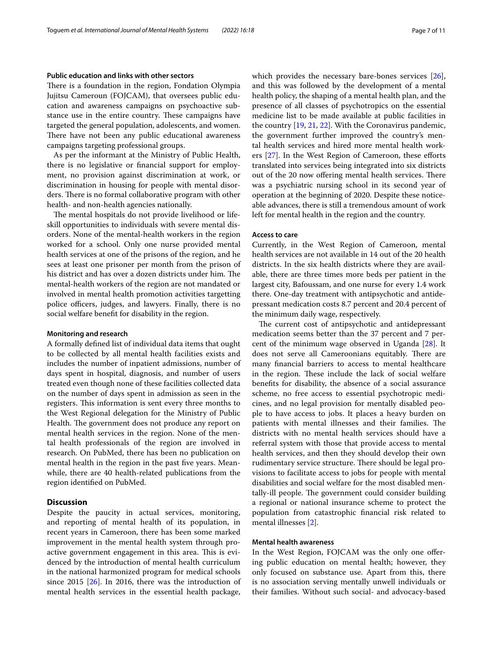### **Public education and links with other sectors**

There is a foundation in the region, Fondation Olympia Jujitsu Cameroun (FOJCAM), that oversees public education and awareness campaigns on psychoactive substance use in the entire country. These campaigns have targeted the general population, adolescents, and women. There have not been any public educational awareness campaigns targeting professional groups.

As per the informant at the Ministry of Public Health, there is no legislative or fnancial support for employment, no provision against discrimination at work, or discrimination in housing for people with mental disorders. There is no formal collaborative program with other health- and non-health agencies nationally.

The mental hospitals do not provide livelihood or lifeskill opportunities to individuals with severe mental disorders. None of the mental-health workers in the region worked for a school. Only one nurse provided mental health services at one of the prisons of the region, and he sees at least one prisoner per month from the prison of his district and has over a dozen districts under him. The mental-health workers of the region are not mandated or involved in mental health promotion activities targetting police officers, judges, and lawyers. Finally, there is no social welfare beneft for disability in the region.

### **Monitoring and research**

A formally defned list of individual data items that ought to be collected by all mental health facilities exists and includes the number of inpatient admissions, number of days spent in hospital, diagnosis, and number of users treated even though none of these facilities collected data on the number of days spent in admission as seen in the registers. This information is sent every three months to the West Regional delegation for the Ministry of Public Health. The government does not produce any report on mental health services in the region. None of the mental health professionals of the region are involved in research. On PubMed, there has been no publication on mental health in the region in the past fve years. Meanwhile, there are 40 health-related publications from the region identifed on PubMed.

## **Discussion**

Despite the paucity in actual services, monitoring, and reporting of mental health of its population, in recent years in Cameroon, there has been some marked improvement in the mental health system through proactive government engagement in this area. This is evidenced by the introduction of mental health curriculum in the national harmonized program for medical schools since 2015 [\[26\]](#page-9-22). In 2016, there was the introduction of mental health services in the essential health package, which provides the necessary bare-bones services [\[26](#page-9-22)], and this was followed by the development of a mental health policy, the shaping of a mental health plan, and the presence of all classes of psychotropics on the essential medicine list to be made available at public facilities in the country [[19,](#page-9-15) [21,](#page-9-17) [22](#page-9-18)]. With the Coronavirus pandemic, the government further improved the country's mental health services and hired more mental health workers [\[27](#page-9-23)]. In the West Region of Cameroon, these eforts translated into services being integrated into six districts out of the 20 now offering mental health services. There was a psychiatric nursing school in its second year of operation at the beginning of 2020. Despite these noticeable advances, there is still a tremendous amount of work left for mental health in the region and the country.

#### **Access to care**

Currently, in the West Region of Cameroon, mental health services are not available in 14 out of the 20 health districts. In the six health districts where they are available, there are three times more beds per patient in the largest city, Bafoussam, and one nurse for every 1.4 work there. One-day treatment with antipsychotic and antidepressant medication costs 8.7 percent and 20.4 percent of the minimum daily wage, respectively.

The current cost of antipsychotic and antidepressant medication seems better than the 37 percent and 7 percent of the minimum wage observed in Uganda [\[28](#page-9-24)]. It does not serve all Cameroonians equitably. There are many fnancial barriers to access to mental healthcare in the region. These include the lack of social welfare benefts for disability, the absence of a social assurance scheme, no free access to essential psychotropic medicines, and no legal provision for mentally disabled people to have access to jobs. It places a heavy burden on patients with mental illnesses and their families. The districts with no mental health services should have a referral system with those that provide access to mental health services, and then they should develop their own rudimentary service structure. There should be legal provisions to facilitate access to jobs for people with mental disabilities and social welfare for the most disabled mentally-ill people. The government could consider building a regional or national insurance scheme to protect the population from catastrophic fnancial risk related to mental illnesses [[2\]](#page-9-1).

## **Mental health awareness**

In the West Region, FOJCAM was the only one ofering public education on mental health; however, they only focused on substance use. Apart from this, there is no association serving mentally unwell individuals or their families. Without such social- and advocacy-based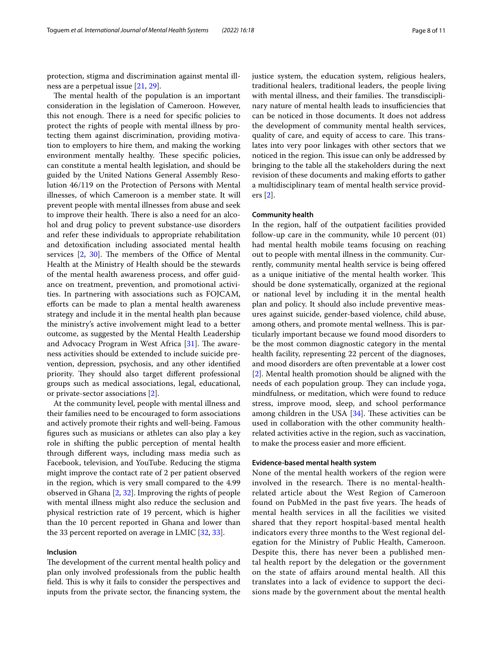protection, stigma and discrimination against mental illness are a perpetual issue [\[21](#page-9-17), [29\]](#page-9-25).

The mental health of the population is an important consideration in the legislation of Cameroon. However, this not enough. There is a need for specific policies to protect the rights of people with mental illness by protecting them against discrimination, providing motivation to employers to hire them, and making the working environment mentally healthy. These specific policies, can constitute a mental health legislation, and should be guided by the United Nations General Assembly Resolution 46/119 on the Protection of Persons with Mental illnesses, of which Cameroon is a member state. It will prevent people with mental illnesses from abuse and seek to improve their health. There is also a need for an alcohol and drug policy to prevent substance-use disorders and refer these individuals to appropriate rehabilitation and detoxifcation including associated mental health services  $[2, 30]$  $[2, 30]$  $[2, 30]$  $[2, 30]$ . The members of the Office of Mental Health at the Ministry of Health should be the stewards of the mental health awareness process, and offer guidance on treatment, prevention, and promotional activities. In partnering with associations such as FOJCAM, eforts can be made to plan a mental health awareness strategy and include it in the mental health plan because the ministry's active involvement might lead to a better outcome, as suggested by the Mental Health Leadership and Advocacy Program in West Africa  $[31]$  $[31]$  $[31]$ . The awareness activities should be extended to include suicide prevention, depression, psychosis, and any other identifed priority. They should also target different professional groups such as medical associations, legal, educational, or private-sector associations [\[2](#page-9-1)].

At the community level, people with mental illness and their families need to be encouraged to form associations and actively promote their rights and well-being. Famous fgures such as musicians or athletes can also play a key role in shifting the public perception of mental health through diferent ways, including mass media such as Facebook, television, and YouTube. Reducing the stigma might improve the contact rate of 2 per patient observed in the region, which is very small compared to the 4.99 observed in Ghana  $[2, 32]$  $[2, 32]$  $[2, 32]$  $[2, 32]$ . Improving the rights of people with mental illness might also reduce the seclusion and physical restriction rate of 19 percent, which is higher than the 10 percent reported in Ghana and lower than the 33 percent reported on average in LMIC [\[32,](#page-9-28) [33](#page-9-29)].

#### **Inclusion**

The development of the current mental health policy and plan only involved professionals from the public health field. This is why it fails to consider the perspectives and inputs from the private sector, the fnancing system, the justice system, the education system, religious healers, traditional healers, traditional leaders, the people living with mental illness, and their families. The transdisciplinary nature of mental health leads to insufficiencies that can be noticed in those documents. It does not address the development of community mental health services, quality of care, and equity of access to care. This translates into very poor linkages with other sectors that we noticed in the region. This issue can only be addressed by bringing to the table all the stakeholders during the next revision of these documents and making efforts to gather a multidisciplinary team of mental health service providers [\[2](#page-9-1)].

### **Community health**

In the region, half of the outpatient facilities provided follow-up care in the community, while 10 percent (01) had mental health mobile teams focusing on reaching out to people with mental illness in the community. Currently, community mental health service is being offered as a unique initiative of the mental health worker. This should be done systematically, organized at the regional or national level by including it in the mental health plan and policy. It should also include preventive measures against suicide, gender-based violence, child abuse, among others, and promote mental wellness. This is particularly important because we found mood disorders to be the most common diagnostic category in the mental health facility, representing 22 percent of the diagnoses, and mood disorders are often preventable at a lower cost [[2\]](#page-9-1). Mental health promotion should be aligned with the needs of each population group. They can include yoga, mindfulness, or meditation, which were found to reduce stress, improve mood, sleep, and school performance among children in the USA  $[34]$  $[34]$ . These activities can be used in collaboration with the other community healthrelated activities active in the region, such as vaccination, to make the process easier and more efficient.

#### **Evidence-based mental health system**

None of the mental health workers of the region were involved in the research. There is no mental-healthrelated article about the West Region of Cameroon found on PubMed in the past five years. The heads of mental health services in all the facilities we visited shared that they report hospital-based mental health indicators every three months to the West regional delegation for the Ministry of Public Health, Cameroon. Despite this, there has never been a published mental health report by the delegation or the government on the state of afairs around mental health. All this translates into a lack of evidence to support the decisions made by the government about the mental health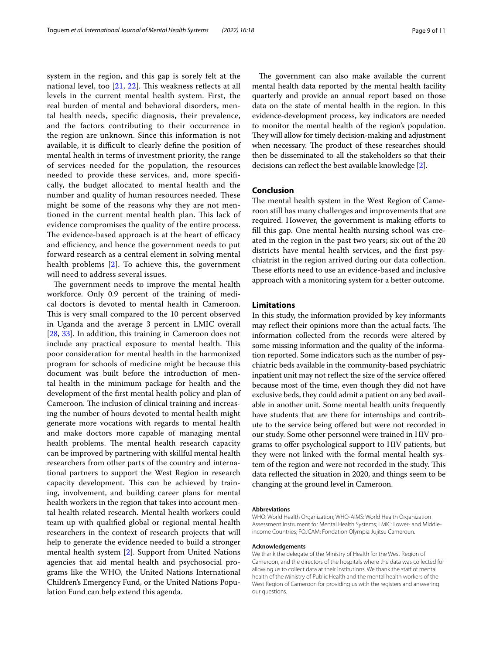system in the region, and this gap is sorely felt at the national level, too  $[21, 22]$  $[21, 22]$  $[21, 22]$  $[21, 22]$  $[21, 22]$ . This weakness reflects at all levels in the current mental health system. First, the real burden of mental and behavioral disorders, mental health needs, specifc diagnosis, their prevalence, and the factors contributing to their occurrence in the region are unknown. Since this information is not available, it is difficult to clearly define the position of mental health in terms of investment priority, the range of services needed for the population, the resources needed to provide these services, and, more specifcally, the budget allocated to mental health and the number and quality of human resources needed. These might be some of the reasons why they are not mentioned in the current mental health plan. This lack of evidence compromises the quality of the entire process. The evidence-based approach is at the heart of efficacy and efficiency, and hence the government needs to put forward research as a central element in solving mental health problems [[2](#page-9-1)]. To achieve this, the government will need to address several issues.

The government needs to improve the mental health workforce. Only 0.9 percent of the training of medical doctors is devoted to mental health in Cameroon. This is very small compared to the 10 percent observed in Uganda and the average 3 percent in LMIC overall [[28,](#page-9-24) [33\]](#page-9-29). In addition, this training in Cameroon does not include any practical exposure to mental health. This poor consideration for mental health in the harmonized program for schools of medicine might be because this document was built before the introduction of mental health in the minimum package for health and the development of the frst mental health policy and plan of Cameroon. The inclusion of clinical training and increasing the number of hours devoted to mental health might generate more vocations with regards to mental health and make doctors more capable of managing mental health problems. The mental health research capacity can be improved by partnering with skillful mental health researchers from other parts of the country and international partners to support the West Region in research capacity development. This can be achieved by training, involvement, and building career plans for mental health workers in the region that takes into account mental health related research. Mental health workers could team up with qualifed global or regional mental health researchers in the context of research projects that will help to generate the evidence needed to build a stronger mental health system [\[2](#page-9-1)]. Support from United Nations agencies that aid mental health and psychosocial programs like the WHO, the United Nations International Children's Emergency Fund, or the United Nations Population Fund can help extend this agenda.

The government can also make available the current mental health data reported by the mental health facility quarterly and provide an annual report based on those data on the state of mental health in the region. In this evidence-development process, key indicators are needed to monitor the mental health of the region's population. They will allow for timely decision-making and adjustment when necessary. The product of these researches should then be disseminated to all the stakeholders so that their decisions can refect the best available knowledge [\[2](#page-9-1)].

## **Conclusion**

The mental health system in the West Region of Cameroon still has many challenges and improvements that are required. However, the government is making eforts to fll this gap. One mental health nursing school was created in the region in the past two years; six out of the 20 districts have mental health services, and the frst psychiatrist in the region arrived during our data collection. These efforts need to use an evidence-based and inclusive approach with a monitoring system for a better outcome.

## **Limitations**

In this study, the information provided by key informants may reflect their opinions more than the actual facts. The information collected from the records were altered by some missing information and the quality of the information reported. Some indicators such as the number of psychiatric beds available in the community-based psychiatric inpatient unit may not reflect the size of the service offered because most of the time, even though they did not have exclusive beds, they could admit a patient on any bed available in another unit. Some mental health units frequently have students that are there for internships and contribute to the service being ofered but were not recorded in our study. Some other personnel were trained in HIV programs to ofer psychological support to HIV patients, but they were not linked with the formal mental health system of the region and were not recorded in the study. This data refected the situation in 2020, and things seem to be changing at the ground level in Cameroon.

#### **Abbreviations**

WHO: World Health Organization; WHO-AIMS: World Health Organization Assessment Instrument for Mental Health Systems; LMIC: Lower- and Middleincome Countries; FOJCAM: Fondation Olympia Jujitsu Cameroun.

#### **Acknowledgements**

We thank the delegate of the Ministry of Health for the West Region of Cameroon, and the directors of the hospitals where the data was collected for allowing us to collect data at their institutions. We thank the staff of mental health of the Ministry of Public Health and the mental health workers of the West Region of Cameroon for providing us with the registers and answering our questions.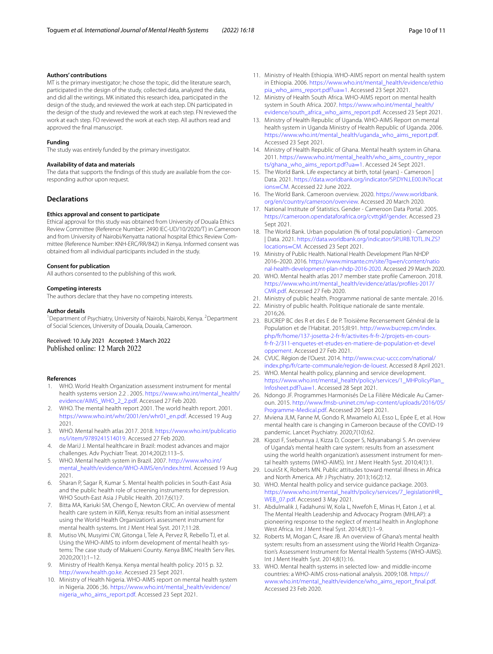#### **Authors' contributions**

MT is the primary investigator; he chose the topic, did the literature search, participated in the design of the study, collected data, analyzed the data, and did all the writings. MK initiated this research idea, participated in the design of the study, and reviewed the work at each step. DN participated in the design of the study and reviewed the work at each step. FN reviewed the work at each step. FO reviewed the work at each step. All authors read and approved the fnal manuscript.

#### **Funding**

The study was entirely funded by the primary investigator.

## **Availability of data and materials**

The data that supports the fndings of this study are available from the corresponding author upon request.

## **Declarations**

#### **Ethics approval and consent to participate**

Ethical approval for this study was obtained from University of Douala Ethics Review Committee (Reference Number: 2490 IEC-UD/10/2020/T) in Cameroon and from University of Nairobi/Kenyatta national hospital Ethics Review Committee (Reference Number: KNH-ERC/RR/842) in Kenya. Informed consent was obtained from all individual participants included in the study.

#### **Consent for publication**

All authors consented to the publishing of this work.

#### **Competing interests**

The authors declare that they have no competing interests.

#### **Author details**

<sup>1</sup> Department of Psychiatry, University of Nairobi, Nairobi, Kenya. <sup>2</sup> Department of Social Sciences, University of Douala, Douala, Cameroon.

Received: 10 July 2021 Accepted: 3 March 2022 Published online: 12 March 2022

#### **References**

- <span id="page-9-0"></span>1. WHO. World Health Organization assessment instrument for mental health systems version 2.2 . 2005. [https://www.who.int/mental\\_health/](https://www.who.int/mental_health/evidence/AIMS_WHO_2_2.pdf) [evidence/AIMS\\_WHO\\_2\\_2.pdf](https://www.who.int/mental_health/evidence/AIMS_WHO_2_2.pdf). Accessed 27 Feb 2020.
- <span id="page-9-1"></span>2. WHO. The mental health report 2001. The world health report. 2001. [https://www.who.int/whr/2001/en/whr01\\_en.pdf.](https://www.who.int/whr/2001/en/whr01_en.pdf) Accessed 19 Aug 2021.
- <span id="page-9-2"></span>3. WHO. Mental health atlas 2017. 2018. [https://www.who.int/publicatio](https://www.who.int/publications/i/item/9789241514019) [ns/i/item/9789241514019.](https://www.who.int/publications/i/item/9789241514019) Accessed 27 Feb 2020.
- <span id="page-9-3"></span>4. de MariJ J. Mental healthcare in Brazil: modest advances and major challenges. Adv Psychiatr Treat. 2014;20(2):113–5.
- <span id="page-9-4"></span>5. WHO. Mental health system in Brazil. 2007. [http://www.who.int/](http://www.who.int/mental_health/evidence/WHO-AIMS/en/index.html) [mental\\_health/evidence/WHO-AIMS/en/index.html](http://www.who.int/mental_health/evidence/WHO-AIMS/en/index.html). Accessed 19 Aug 2021.
- <span id="page-9-5"></span>6. Sharan P, Sagar R, Kumar S. Mental health policies in South-East Asia and the public health role of screening instruments for depression. WHO South-East Asia J Public Health. 2017;6(1):7.
- <span id="page-9-6"></span>7. Bitta MA, Kariuki SM, Chengo E, Newton CRJC. An overview of mental health care system in Kilif, Kenya: results from an initial assessment using the World Health Organization's assessment instrument for mental health systems. Int J Ment Heal Syst. 2017;11:28.
- <span id="page-9-7"></span>8. Mutiso VN, Musyimi CW, Gitonga I, Tele A, Pervez R, Rebello TJ, et al. Using the WHO-AIMS to inform development of mental health systems: The case study of Makueni County. Kenya BMC Health Serv Res. 2020;20(1):1–12.
- <span id="page-9-8"></span>9. Ministry of Health Kenya. Kenya mental health policy. 2015 p. 32. <http://www.health.go.ke>. Accessed 23 Sept 2021.
- <span id="page-9-9"></span>10. Ministry of Health Nigeria. WHO-AIMS report on mental health system in Nigeria. 2006 ;36. [https://www.who.int/mental\\_health/evidence/](https://www.who.int/mental_health/evidence/nigeria_who_aims_report.pdf) [nigeria\\_who\\_aims\\_report.pdf.](https://www.who.int/mental_health/evidence/nigeria_who_aims_report.pdf) Accessed 23 Sept 2021.
- 11. Ministry of Health Ethiopia. WHO-AIMS report on mental health system in Ethiopia. 2006. [https://www.who.int/mental\\_health/evidence/ethio](https://www.who.int/mental_health/evidence/ethiopia_who_aims_report.pdf?ua=1) [pia\\_who\\_aims\\_report.pdf?ua](https://www.who.int/mental_health/evidence/ethiopia_who_aims_report.pdf?ua=1)=1. Accessed 23 Sept 2021.
- 12. Ministry of Health South Africa. WHO-AIMS report on mental health system in South Africa. 2007. [https://www.who.int/mental\\_health/](https://www.who.int/mental_health/evidence/south_africa_who_aims_report.pdf) [evidence/south\\_africa\\_who\\_aims\\_report.pdf](https://www.who.int/mental_health/evidence/south_africa_who_aims_report.pdf). Accessed 23 Sept 2021.
- 13. Ministry of Health Republic of Uganda. WHO-AIMS Report on mental health system in Uganda Ministry of Health Republic of Uganda. 2006. [https://www.who.int/mental\\_health/uganda\\_who\\_aims\\_report.pdf.](https://www.who.int/mental_health/uganda_who_aims_report.pdf) Accessed 23 Sept 2021.
- <span id="page-9-10"></span>14. Ministry of Health Republic of Ghana. Mental health system in Ghana. 2011. [https://www.who.int/mental\\_health/who\\_aims\\_country\\_repor](https://www.who.int/mental_health/who_aims_country_reports/ghana_who_aims_report.pdf?ua=1) [ts/ghana\\_who\\_aims\\_report.pdf?ua](https://www.who.int/mental_health/who_aims_country_reports/ghana_who_aims_report.pdf?ua=1)=1. Accessed 24 Sept 2021.
- <span id="page-9-11"></span>15. The World Bank. Life expectancy at birth, total (years) - Cameroon | Data. 2021. [https://data.worldbank.org/indicator/SP.DYN.LE00.IN?locat](https://data.worldbank.org/indicator/SP.DYN.LE00.IN?locations=CM) ions=CM. Accessed 22 June 2022.
- <span id="page-9-12"></span>16. [The World](https://data.worldbank.org/indicator/SP.DYN.LE00.IN?locations=CM) Bank. Cameroon overview. 2020. [https://www.worldbank.](https://www.worldbank.org/en/country/cameroon/overview) [org/en/country/cameroon/overview.](https://www.worldbank.org/en/country/cameroon/overview) Accessed 20 March 2020.
- <span id="page-9-13"></span>17. National Institute of Statistics. Gender - Cameroon Data Portal. 2005. <https://cameroon.opendataforafrica.org/cvttgkf/gender>. Accessed 23 Sept 2021.
- <span id="page-9-14"></span>18. The World Bank. Urban population (% of total population) - Cameroon | Data. 2021. [https://data.worldbank.org/indicator/SP.URB.TOTL.IN.ZS?](https://data.worldbank.org/indicator/SP.URB.TOTL.IN.ZS?locations=CM) [locations](https://data.worldbank.org/indicator/SP.URB.TOTL.IN.ZS?locations=CM)=CM. Accessed 23 Sept 2021.
- <span id="page-9-15"></span>19. Ministry of Public Health. National Health Development Plan NHDP 2016–2020. 2016. [https://www.minsante.cm/site/?q](https://www.minsante.cm/site/?q=en/content/national-health-development-plan-nhdp-2016-2020)=en/content/natio [nal-health-development-plan-nhdp-2016-2020](https://www.minsante.cm/site/?q=en/content/national-health-development-plan-nhdp-2016-2020). Accessed 29 March 2020.
- <span id="page-9-16"></span>20. WHO. Mental health atlas 2017 member state profle Cameroon. 2018. [https://www.who.int/mental\\_health/evidence/atlas/profles-2017/](https://www.who.int/mental_health/evidence/atlas/profiles-2017/CMR.pdf) [CMR.pdf.](https://www.who.int/mental_health/evidence/atlas/profiles-2017/CMR.pdf) Accessed 27 Feb 2020.
- <span id="page-9-17"></span>21. Ministry of public health. Programme national de sante mentale. 2016.
- <span id="page-9-18"></span>22. Ministry of public health. Politique nationale de sante mentale. 2016;26.
- <span id="page-9-19"></span>23. BUCREP BC des R et des E de P. Troisième Recensement Général de la Population et de l'Habitat. 2015;III:91. [http://www.bucrep.cm/index.](http://www.bucrep.cm/index.php/fr/home/137-josetta-2-fr-fr/activites-fr-fr-2/projets-en-cours-fr-fr-2/311-enquetes-et-etudes-en-matiere-de-population-et-developpement) [php/fr/home/137-josetta-2-fr-fr/activites-fr-fr-2/projets-en-cours](http://www.bucrep.cm/index.php/fr/home/137-josetta-2-fr-fr/activites-fr-fr-2/projets-en-cours-fr-fr-2/311-enquetes-et-etudes-en-matiere-de-population-et-developpement)[fr-fr-2/311-enquetes-et-etudes-en-matiere-de-population-et-devel](http://www.bucrep.cm/index.php/fr/home/137-josetta-2-fr-fr/activites-fr-fr-2/projets-en-cours-fr-fr-2/311-enquetes-et-etudes-en-matiere-de-population-et-developpement) [oppement.](http://www.bucrep.cm/index.php/fr/home/137-josetta-2-fr-fr/activites-fr-fr-2/projets-en-cours-fr-fr-2/311-enquetes-et-etudes-en-matiere-de-population-et-developpement) Accessed 27 Feb 2021.
- <span id="page-9-20"></span>24. CVUC. Région de l'Ouest. 2014. [http://www.cvuc-uccc.com/national/](http://www.cvuc-uccc.com/national/index.php/fr/carte-communale/region-de-louest) [index.php/fr/carte-communale/region-de-louest](http://www.cvuc-uccc.com/national/index.php/fr/carte-communale/region-de-louest). Accessed 8 April 2021.
- <span id="page-9-21"></span>25. WHO. Mental health policy, planning and service development. [https://www.who.int/mental\\_health/policy/services/1\\_MHPolicyPlan\\_](https://www.who.int/mental_health/policy/services/1_MHPolicyPlan_Infosheet.pdf?ua=1) [Infosheet.pdf?ua](https://www.who.int/mental_health/policy/services/1_MHPolicyPlan_Infosheet.pdf?ua=1)=1. Accessed 28 Sept 2021.
- <span id="page-9-22"></span>26. Ndongo JF. Programmes Harmonisés De La Filière Médicale Au Cameroun. 2015. [http://www.fmsb-uninet.cm/wp-content/uploads/2016/05/](http://www.fmsb-uninet.cm/wp-content/uploads/2016/05/Programme-Medical.pdf) [Programme-Medical.pdf](http://www.fmsb-uninet.cm/wp-content/uploads/2016/05/Programme-Medical.pdf). Accessed 20 Sept 2021.
- <span id="page-9-23"></span>27. Mviena JLM, Fanne M, Gondo R, Mwamelo AJ, Esso L, Epée E, et al. How mental health care is changing in Cameroon because of the COVID-19 pandemic. Lancet Psychiatry. 2020;7(10):62.
- <span id="page-9-24"></span>28. Kigozi F, Ssebunnya J, Kizza D, Cooper S, Ndyanabangi S. An overview of Uganda's mental health care system: results from an assessment using the world health organization's assessment instrument for mental health systems (WHO-AIMS). Int J Ment Health Syst. 2010;4(1):1.
- <span id="page-9-25"></span>29. LouisSt K, Roberts MN. Public attitudes toward mental illness in Africa and North America. Afr J Psychiatry. 2013;16(2):12.
- <span id="page-9-26"></span>30. WHO. Mental health policy and service guidance package. 2003. [https://www.who.int/mental\\_health/policy/services/7\\_legislationHR\\_](https://www.who.int/mental_health/policy/services/7_legislationHR_WEB_07.pdf) WEB 07.pdf. Accessed 3 May 2021.
- <span id="page-9-27"></span>31. Abdulmalik J, Fadahunsi W, Kola L, Nwefoh E, Minas H, Eaton J, et al. The Mental Health Leadership and Advocacy Program (MHLAP): a pioneering response to the neglect of mental health in Anglophone West Africa. Int J Ment Heal Syst. 2014;8(1):1–9.
- <span id="page-9-28"></span>32. Roberts M, Mogan C, Asare JB. An overview of Ghana's mental health system: results from an assessment using the World Health Organization's Assessment Instrument for Mental Health Systems (WHO-AIMS). Int J Ment Health Syst. 2014;8(1):16.
- <span id="page-9-29"></span>33. WHO. Mental health systems in selected low- and middle-income countries: a WHO-AIMS cross-national analysis. 2009;108. [https://](https://www.who.int/mental_health/evidence/who_aims_report_final.pdf) [www.who.int/mental\\_health/evidence/who\\_aims\\_report\\_fnal.pdf.](https://www.who.int/mental_health/evidence/who_aims_report_final.pdf) Accessed 23 Feb 2020.